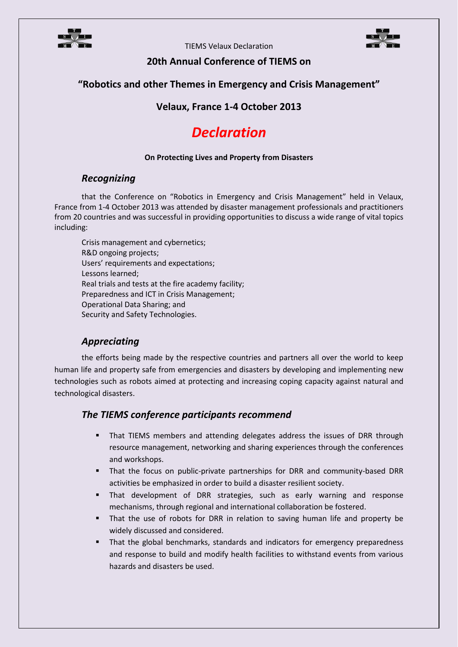

TIEMS Velaux Declaration



# **20th Annual Conference of TIEMS on**

# **"Robotics and other Themes in Emergency and Crisis Management"**

# **Velaux, France 1-4 October 2013**

# *Declaration*

#### **On Protecting Lives and Property from Disasters**

#### *Recognizing*

that the Conference on "Robotics in Emergency and Crisis Management" held in Velaux, France from 1-4 October 2013 was attended by disaster management professionals and practitioners from 20 countries and was successful in providing opportunities to discuss a wide range of vital topics including:

Crisis management and cybernetics; R&D ongoing projects; Users' requirements and expectations; Lessons learned; Real trials and tests at the fire academy facility; Preparedness and ICT in Crisis Management; Operational Data Sharing; and Security and Safety Technologies.

# *Appreciating*

the efforts being made by the respective countries and partners all over the world to keep human life and property safe from emergencies and disasters by developing and implementing new technologies such as robots aimed at protecting and increasing coping capacity against natural and technological disasters.

# *The TIEMS conference participants recommend*

- That TIEMS members and attending delegates address the issues of DRR through resource management, networking and sharing experiences through the conferences and workshops.
- That the focus on public-private partnerships for DRR and community-based DRR activities be emphasized in order to build a disaster resilient society.
- That development of DRR strategies, such as early warning and response mechanisms, through regional and international collaboration be fostered.
- That the use of robots for DRR in relation to saving human life and property be widely discussed and considered.
- That the global benchmarks, standards and indicators for emergency preparedness and response to build and modify health facilities to withstand events from various hazards and disasters be used.